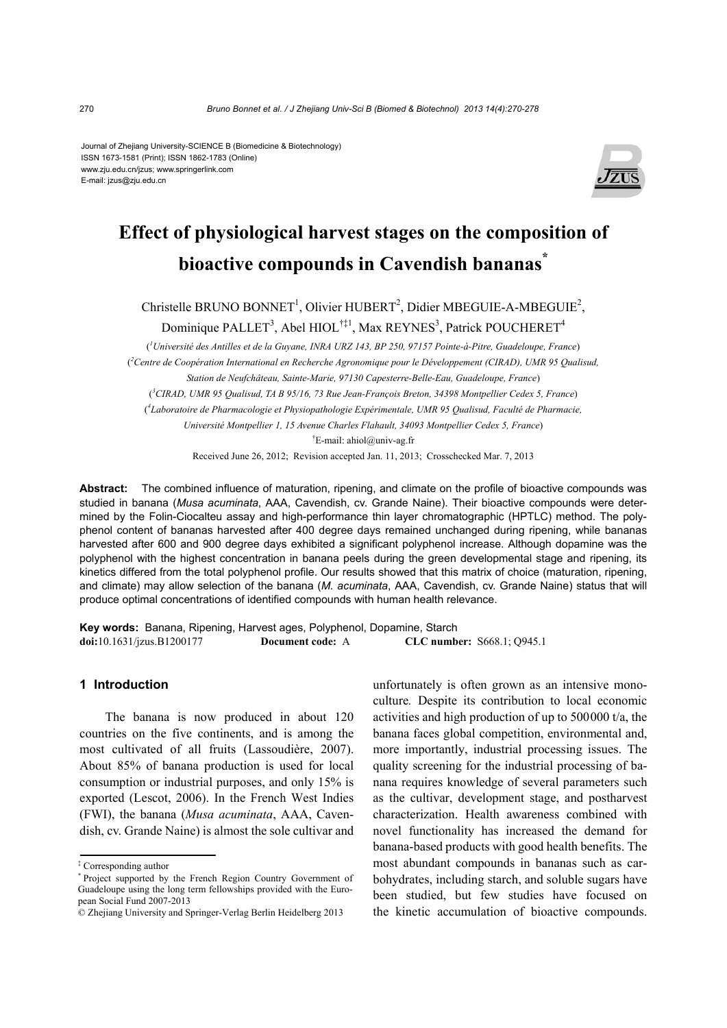Journal of Zhejiang University-SCIENCE B (Biomedicine & Biotechnology) ISSN 1673-1581 (Print); ISSN 1862-1783 (Online) www.zju.edu.cn/jzus; www.springerlink.com E-mail: jzus@zju.edu.cn



# **Effect of physiological harvest stages on the composition of bioactive compounds in Cavendish bananas\***

Christelle BRUNO BONNET<sup>1</sup>, Olivier HUBERT<sup>2</sup>, Didier MBEGUIE-A-MBEGUIE<sup>2</sup>,

Dominique PALLET<sup>3</sup>, Abel HIOL<sup>†‡1</sup>, Max REYNES<sup>3</sup>, Patrick POUCHERET<sup>4</sup>

( *1 Université des Antilles et de la Guyane, INRA URZ 143, BP 250, 97157 Pointe-à-Pitre, Guadeloupe, France*) ( *2 Centre de Coopération International en Recherche Agronomique pour le Développement (CIRAD), UMR 95 Qualisud, Station de Neufchâteau, Sainte-Marie, 97130 Capesterre-Belle-Eau, Guadeloupe, France*)

( *3 CIRAD, UMR 95 Qualisud, TA B 95/16, 73 Rue Jean-François Breton, 34398 Montpellier Cedex 5, France*)

( *4 Laboratoire de Pharmacologie et Physiopathologie Expérimentale, UMR 95 Qualisud, Faculté de Pharmacie,* 

*Université Montpellier 1, 15 Avenue Charles Flahault, 34093 Montpellier Cedex 5, France*)

† E-mail: ahiol@univ-ag.fr

Received June 26, 2012; Revision accepted Jan. 11, 2013; Crosschecked Mar. 7, 2013

**Abstract:** The combined influence of maturation, ripening, and climate on the profile of bioactive compounds was studied in banana (*Musa acuminata*, AAA, Cavendish, cv. Grande Naine). Their bioactive compounds were determined by the Folin-Ciocalteu assay and high-performance thin layer chromatographic (HPTLC) method. The polyphenol content of bananas harvested after 400 degree days remained unchanged during ripening, while bananas harvested after 600 and 900 degree days exhibited a significant polyphenol increase. Although dopamine was the polyphenol with the highest concentration in banana peels during the green developmental stage and ripening, its kinetics differed from the total polyphenol profile. Our results showed that this matrix of choice (maturation, ripening, and climate) may allow selection of the banana (*M. acuminata*, AAA, Cavendish, cv. Grande Naine) status that will produce optimal concentrations of identified compounds with human health relevance.

**Key words:** Banana, Ripening, Harvest ages, Polyphenol, Dopamine, Starch **doi:**10.1631/jzus.B1200177 **Document code:** A **CLC number:** S668.1; Q945.1

## **1 Introduction**

The banana is now produced in about 120 countries on the five continents, and is among the most cultivated of all fruits (Lassoudière, 2007). About 85% of banana production is used for local consumption or industrial purposes, and only 15% is exported (Lescot, 2006). In the French West Indies (FWI), the banana (*Musa acuminata*, AAA, Cavendish, cv. Grande Naine) is almost the sole cultivar and unfortunately is often grown as an intensive monoculture*.* Despite its contribution to local economic activities and high production of up to 500000 t/a, the banana faces global competition, environmental and, more importantly, industrial processing issues. The quality screening for the industrial processing of banana requires knowledge of several parameters such as the cultivar, development stage, and postharvest characterization. Health awareness combined with novel functionality has increased the demand for banana-based products with good health benefits. The most abundant compounds in bananas such as carbohydrates, including starch, and soluble sugars have been studied, but few studies have focused on the kinetic accumulation of bioactive compounds.

<sup>‡</sup> Corresponding author

<sup>\*</sup> Project supported by the French Region Country Government of Guadeloupe using the long term fellowships provided with the European Social Fund 2007-2013

<sup>©</sup> Zhejiang University and Springer-Verlag Berlin Heidelberg 2013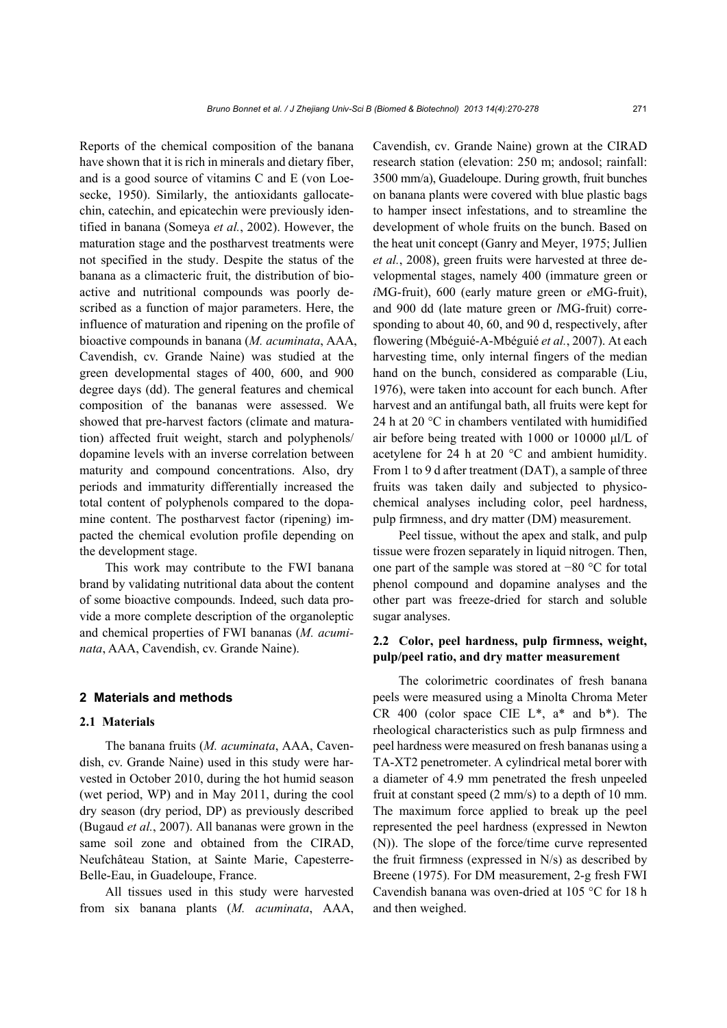Reports of the chemical composition of the banana have shown that it is rich in minerals and dietary fiber, and is a good source of vitamins C and E (von Loesecke, 1950). Similarly, the antioxidants gallocatechin, catechin, and epicatechin were previously identified in banana (Someya *et al.*, 2002). However, the maturation stage and the postharvest treatments were not specified in the study. Despite the status of the banana as a climacteric fruit, the distribution of bioactive and nutritional compounds was poorly described as a function of major parameters. Here, the influence of maturation and ripening on the profile of bioactive compounds in banana (*M. acuminata*, AAA, Cavendish, cv. Grande Naine) was studied at the green developmental stages of 400, 600, and 900 degree days (dd). The general features and chemical composition of the bananas were assessed. We showed that pre-harvest factors (climate and maturation) affected fruit weight, starch and polyphenols/ dopamine levels with an inverse correlation between maturity and compound concentrations. Also, dry periods and immaturity differentially increased the total content of polyphenols compared to the dopamine content. The postharvest factor (ripening) impacted the chemical evolution profile depending on the development stage.

This work may contribute to the FWI banana brand by validating nutritional data about the content of some bioactive compounds. Indeed, such data provide a more complete description of the organoleptic and chemical properties of FWI bananas (*M. acuminata*, AAA, Cavendish, cv. Grande Naine).

#### **2 Materials and methods**

#### **2.1 Materials**

The banana fruits (*M. acuminata*, AAA, Cavendish, cv. Grande Naine) used in this study were harvested in October 2010, during the hot humid season (wet period, WP) and in May 2011, during the cool dry season (dry period, DP) as previously described (Bugaud *et al.*, 2007). All bananas were grown in the same soil zone and obtained from the CIRAD, Neufchâteau Station, at Sainte Marie, Capesterre-Belle-Eau, in Guadeloupe, France.

All tissues used in this study were harvested from six banana plants (*M. acuminata*, AAA,

Cavendish, cv. Grande Naine) grown at the CIRAD research station (elevation: 250 m; andosol; rainfall: 3500 mm/a), Guadeloupe. During growth, fruit bunches on banana plants were covered with blue plastic bags to hamper insect infestations, and to streamline the development of whole fruits on the bunch. Based on the heat unit concept (Ganry and Meyer, 1975; Jullien *et al.*, 2008), green fruits were harvested at three developmental stages, namely 400 (immature green or *i*MG-fruit), 600 (early mature green or *e*MG-fruit), and 900 dd (late mature green or *l*MG-fruit) corresponding to about 40, 60, and 90 d, respectively, after flowering (Mbéguié-A-Mbéguié *et al.*, 2007). At each harvesting time, only internal fingers of the median hand on the bunch, considered as comparable (Liu, 1976), were taken into account for each bunch. After harvest and an antifungal bath, all fruits were kept for 24 h at 20 °C in chambers ventilated with humidified air before being treated with 1000 or 10000 μl/L of acetylene for 24 h at 20 °C and ambient humidity. From 1 to 9 d after treatment (DAT), a sample of three fruits was taken daily and subjected to physicochemical analyses including color, peel hardness, pulp firmness, and dry matter (DM) measurement.

Peel tissue, without the apex and stalk, and pulp tissue were frozen separately in liquid nitrogen. Then, one part of the sample was stored at −80 °C for total phenol compound and dopamine analyses and the other part was freeze-dried for starch and soluble sugar analyses.

## **2.2 Color, peel hardness, pulp firmness, weight, pulp/peel ratio, and dry matter measurement**

The colorimetric coordinates of fresh banana peels were measured using a Minolta Chroma Meter CR 400 (color space CIE  $L^*$ ,  $a^*$  and  $b^*$ ). The rheological characteristics such as pulp firmness and peel hardness were measured on fresh bananas using a TA-XT2 penetrometer. A cylindrical metal borer with a diameter of 4.9 mm penetrated the fresh unpeeled fruit at constant speed (2 mm/s) to a depth of 10 mm. The maximum force applied to break up the peel represented the peel hardness (expressed in Newton (N)). The slope of the force/time curve represented the fruit firmness (expressed in N/s) as described by Breene (1975). For DM measurement, 2-g fresh FWI Cavendish banana was oven-dried at 105 °C for 18 h and then weighed.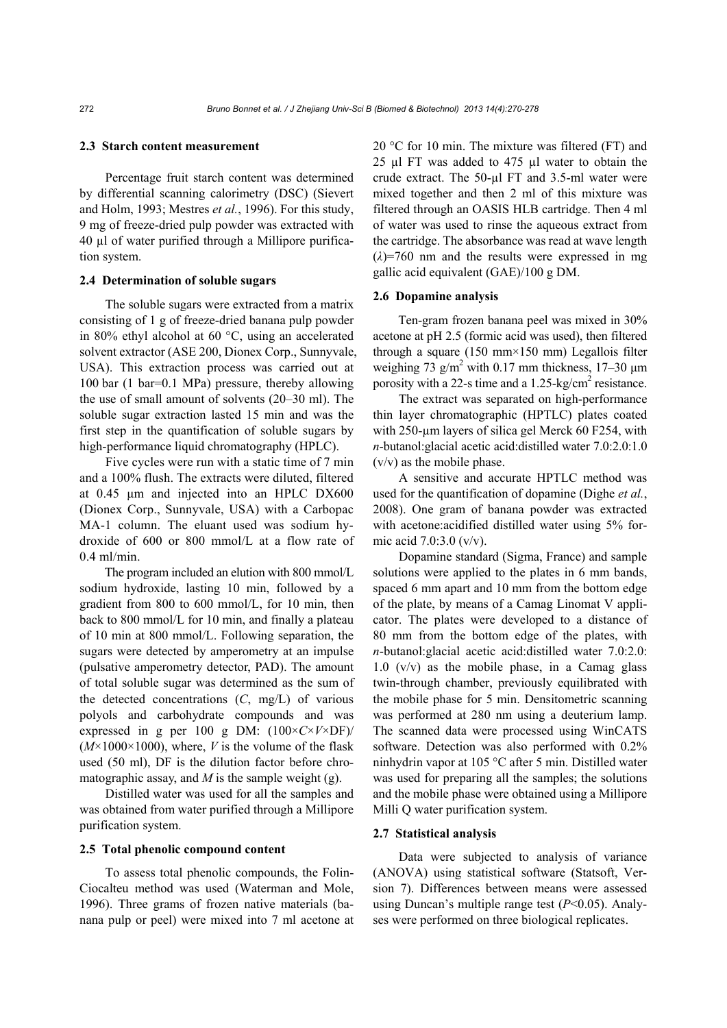### **2.3 Starch content measurement**

Percentage fruit starch content was determined by differential scanning calorimetry (DSC) (Sievert and Holm, 1993; Mestres *et al.*, 1996). For this study, 9 mg of freeze-dried pulp powder was extracted with 40 µl of water purified through a Millipore purification system.

#### **2.4 Determination of soluble sugars**

The soluble sugars were extracted from a matrix consisting of 1 g of freeze-dried banana pulp powder in 80% ethyl alcohol at 60 °C, using an accelerated solvent extractor (ASE 200, Dionex Corp., Sunnyvale, USA). This extraction process was carried out at 100 bar (1 bar=0.1 MPa) pressure, thereby allowing the use of small amount of solvents (20‒30 ml). The soluble sugar extraction lasted 15 min and was the first step in the quantification of soluble sugars by high-performance liquid chromatography (HPLC).

Five cycles were run with a static time of 7 min and a 100% flush. The extracts were diluted, filtered at 0.45 μm and injected into an HPLC DX600 (Dionex Corp., Sunnyvale, USA) with a Carbopac MA-1 column. The eluant used was sodium hydroxide of 600 or 800 mmol/L at a flow rate of 0.4 ml/min.

The program included an elution with 800 mmol/L sodium hydroxide, lasting 10 min, followed by a gradient from 800 to 600 mmol/L, for 10 min, then back to 800 mmol/L for 10 min, and finally a plateau of 10 min at 800 mmol/L. Following separation, the sugars were detected by amperometry at an impulse (pulsative amperometry detector, PAD). The amount of total soluble sugar was determined as the sum of the detected concentrations  $(C, mg/L)$  of various polyols and carbohydrate compounds and was expressed in g per 100 g DM: (100×*C*×*V*×DF)/  $(M \times 1000 \times 1000)$ , where, *V* is the volume of the flask used (50 ml), DF is the dilution factor before chromatographic assay, and  $M$  is the sample weight (g).

Distilled water was used for all the samples and was obtained from water purified through a Millipore purification system.

#### **2.5 Total phenolic compound content**

To assess total phenolic compounds, the Folin-Ciocalteu method was used (Waterman and Mole, 1996). Three grams of frozen native materials (banana pulp or peel) were mixed into 7 ml acetone at 20 °C for 10 min. The mixture was filtered (FT) and 25 µl FT was added to 475 µl water to obtain the crude extract. The 50-µl FT and 3.5-ml water were mixed together and then 2 ml of this mixture was filtered through an OASIS HLB cartridge. Then 4 ml of water was used to rinse the aqueous extract from the cartridge. The absorbance was read at wave length  $(\lambda)$ =760 nm and the results were expressed in mg gallic acid equivalent (GAE)/100 g DM.

#### **2.6 Dopamine analysis**

Ten-gram frozen banana peel was mixed in 30% acetone at pH 2.5 (formic acid was used), then filtered through a square (150 mm $\times$ 150 mm) Legallois filter weighing  $73 \text{ g/m}^2$  with 0.17 mm thickness, 17–30 µm porosity with a 22-s time and a  $1.25$ -kg/cm<sup>2</sup> resistance.

The extract was separated on high-performance thin layer chromatographic (HPTLC) plates coated with 250-um layers of silica gel Merck 60 F254, with *n*-butanol:glacial acetic acid:distilled water 7.0:2.0:1.0 (v/v) as the mobile phase.

A sensitive and accurate HPTLC method was used for the quantification of dopamine (Dighe *et al.*, 2008). One gram of banana powder was extracted with acetone:acidified distilled water using 5% formic acid 7.0:3.0 (v/v).

Dopamine standard (Sigma, France) and sample solutions were applied to the plates in 6 mm bands, spaced 6 mm apart and 10 mm from the bottom edge of the plate, by means of a Camag Linomat V applicator. The plates were developed to a distance of 80 mm from the bottom edge of the plates, with *n*-butanol:glacial acetic acid:distilled water 7.0:2.0: 1.0  $(v/v)$  as the mobile phase, in a Camag glass twin-through chamber, previously equilibrated with the mobile phase for 5 min. Densitometric scanning was performed at 280 nm using a deuterium lamp. The scanned data were processed using WinCATS software. Detection was also performed with 0.2% ninhydrin vapor at 105 °C after 5 min. Distilled water was used for preparing all the samples; the solutions and the mobile phase were obtained using a Millipore Milli Q water purification system.

## **2.7 Statistical analysis**

Data were subjected to analysis of variance (ANOVA) using statistical software (Statsoft, Version 7). Differences between means were assessed using Duncan's multiple range test (*P*<0.05). Analyses were performed on three biological replicates.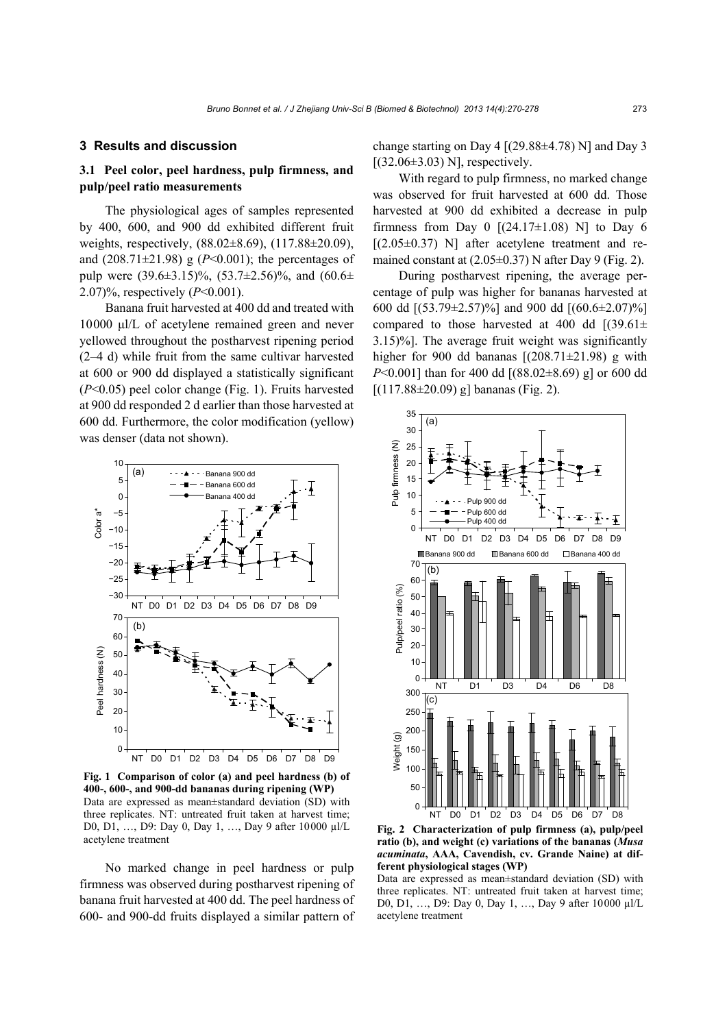### **3 Results and discussion**

# **3.1 Peel color, peel hardness, pulp firmness, and pulp/peel ratio measurements**

The physiological ages of samples represented by 400, 600, and 900 dd exhibited different fruit weights, respectively, (88.02±8.69), (117.88±20.09), and  $(208.71 \pm 21.98)$  g  $(P<0.001)$ ; the percentages of pulp were  $(39.6\pm3.15)\%$ ,  $(53.7\pm2.56)\%$ , and  $(60.6\pm$ 2.07)%, respectively (*P*<0.001).

Banana fruit harvested at 400 dd and treated with 10000 μl/L of acetylene remained green and never yellowed throughout the postharvest ripening period (2–4 d) while fruit from the same cultivar harvested at 600 or 900 dd displayed a statistically significant (*P*<0.05) peel color change (Fig. 1). Fruits harvested at 900 dd responded 2 d earlier than those harvested at 600 dd. Furthermore, the color modification (yellow) was denser (data not shown).



**Fig. 1 Comparison of color (a) and peel hardness (b) of 400-, 600-, and 900-dd bananas during ripening (WP)**  Data are expressed as mean±standard deviation (SD) with three replicates. NT: untreated fruit taken at harvest time; D0, D1, …, D9: Day 0, Day 1, …, Day 9 after 10000 µl/L acetylene treatment

No marked change in peel hardness or pulp firmness was observed during postharvest ripening of banana fruit harvested at 400 dd. The peel hardness of 600- and 900-dd fruits displayed a similar pattern of change starting on Day 4  $[(29.88 \pm 4.78)$  N] and Day 3  $[(32.06\pm3.03)$  N, respectively.

With regard to pulp firmness, no marked change was observed for fruit harvested at 600 dd. Those harvested at 900 dd exhibited a decrease in pulp firmness from Day 0  $[(24.17 \pm 1.08)$  N] to Day 6  $[(2.05\pm0.37)$  N] after acetylene treatment and remained constant at (2.05±0.37) N after Day 9 (Fig. 2).

During postharvest ripening, the average percentage of pulp was higher for bananas harvested at 600 dd [(53.79±2.57)%] and 900 dd [(60.6±2.07)%] compared to those harvested at 400 dd  $(39.61 \pm$ 3.15)%]. The average fruit weight was significantly higher for 900 dd bananas  $[(208.71 \pm 21.98)$  g with *P*<0.001] than for 400 dd [(88.02±8.69) g] or 600 dd  $[(117.88 \pm 20.09)$  g] bananas (Fig. 2).



**Fig. 2 Characterization of pulp firmness (a), pulp/peel ratio (b), and weight (c) variations of the bananas (***Musa acuminata***, AAA, Cavendish, cv. Grande Naine) at different physiological stages (WP)** 

Data are expressed as mean±standard deviation (SD) with three replicates. NT: untreated fruit taken at harvest time; D0, D1, …, D9: Day 0, Day 1, …, Day 9 after 10000 µl/L acetylene treatment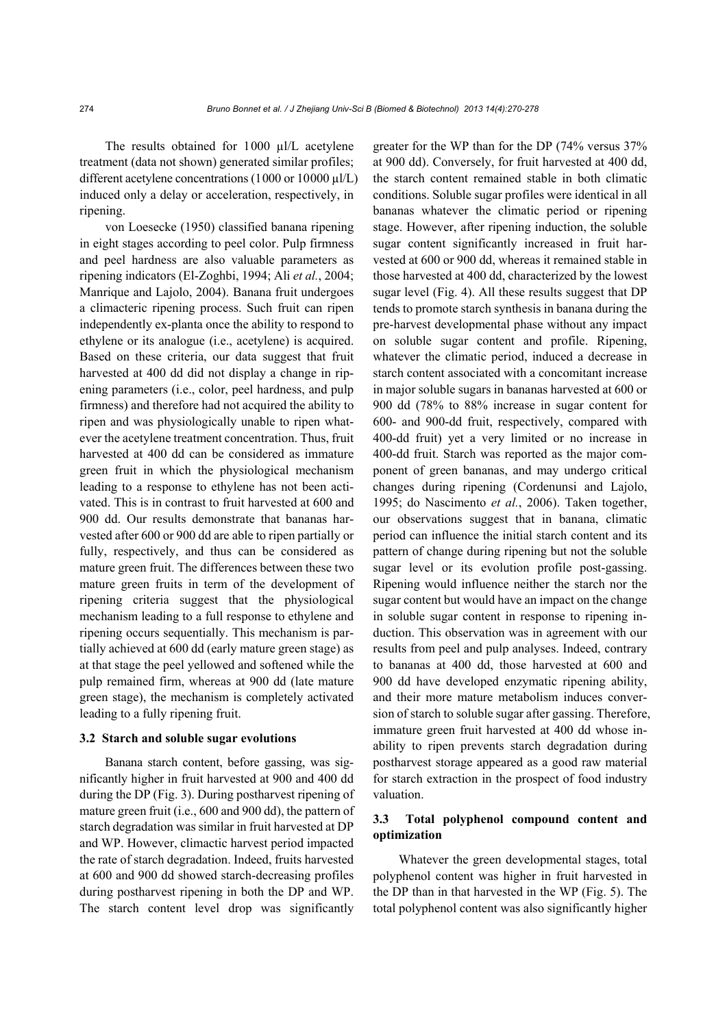The results obtained for 1000 µl/L acetylene treatment (data not shown) generated similar profiles; different acetylene concentrations (1000 or 10000 µl/L) induced only a delay or acceleration, respectively, in ripening.

von Loesecke (1950) classified banana ripening in eight stages according to peel color. Pulp firmness and peel hardness are also valuable parameters as ripening indicators (El-Zoghbi, 1994; Ali *et al.*, 2004; Manrique and Lajolo, 2004). Banana fruit undergoes a climacteric ripening process. Such fruit can ripen independently ex-planta once the ability to respond to ethylene or its analogue (i.e., acetylene) is acquired. Based on these criteria, our data suggest that fruit harvested at 400 dd did not display a change in ripening parameters (i.e., color, peel hardness, and pulp firmness) and therefore had not acquired the ability to ripen and was physiologically unable to ripen whatever the acetylene treatment concentration. Thus, fruit harvested at 400 dd can be considered as immature green fruit in which the physiological mechanism leading to a response to ethylene has not been activated. This is in contrast to fruit harvested at 600 and 900 dd. Our results demonstrate that bananas harvested after 600 or 900 dd are able to ripen partially or fully, respectively, and thus can be considered as mature green fruit. The differences between these two mature green fruits in term of the development of ripening criteria suggest that the physiological mechanism leading to a full response to ethylene and ripening occurs sequentially. This mechanism is partially achieved at 600 dd (early mature green stage) as at that stage the peel yellowed and softened while the pulp remained firm, whereas at 900 dd (late mature green stage), the mechanism is completely activated leading to a fully ripening fruit.

#### **3.2 Starch and soluble sugar evolutions**

Banana starch content, before gassing, was significantly higher in fruit harvested at 900 and 400 dd during the DP (Fig. 3). During postharvest ripening of mature green fruit (i.e., 600 and 900 dd), the pattern of starch degradation was similar in fruit harvested at DP and WP. However, climactic harvest period impacted the rate of starch degradation. Indeed, fruits harvested at 600 and 900 dd showed starch-decreasing profiles during postharvest ripening in both the DP and WP. The starch content level drop was significantly greater for the WP than for the DP (74% versus 37% at 900 dd). Conversely, for fruit harvested at 400 dd, the starch content remained stable in both climatic conditions. Soluble sugar profiles were identical in all bananas whatever the climatic period or ripening stage. However, after ripening induction, the soluble sugar content significantly increased in fruit harvested at 600 or 900 dd, whereas it remained stable in those harvested at 400 dd, characterized by the lowest sugar level (Fig. 4). All these results suggest that DP tends to promote starch synthesis in banana during the pre-harvest developmental phase without any impact on soluble sugar content and profile. Ripening, whatever the climatic period, induced a decrease in starch content associated with a concomitant increase in major soluble sugars in bananas harvested at 600 or 900 dd (78% to 88% increase in sugar content for 600- and 900-dd fruit, respectively, compared with 400-dd fruit) yet a very limited or no increase in 400-dd fruit. Starch was reported as the major component of green bananas, and may undergo critical changes during ripening (Cordenunsi and Lajolo, 1995; do Nascimento *et al.*, 2006). Taken together, our observations suggest that in banana, climatic period can influence the initial starch content and its pattern of change during ripening but not the soluble sugar level or its evolution profile post-gassing. Ripening would influence neither the starch nor the sugar content but would have an impact on the change in soluble sugar content in response to ripening induction. This observation was in agreement with our results from peel and pulp analyses. Indeed, contrary to bananas at 400 dd, those harvested at 600 and 900 dd have developed enzymatic ripening ability, and their more mature metabolism induces conversion of starch to soluble sugar after gassing. Therefore, immature green fruit harvested at 400 dd whose inability to ripen prevents starch degradation during postharvest storage appeared as a good raw material for starch extraction in the prospect of food industry valuation.

# **3.3 Total polyphenol compound content and optimization**

Whatever the green developmental stages, total polyphenol content was higher in fruit harvested in the DP than in that harvested in the WP (Fig. 5). The total polyphenol content was also significantly higher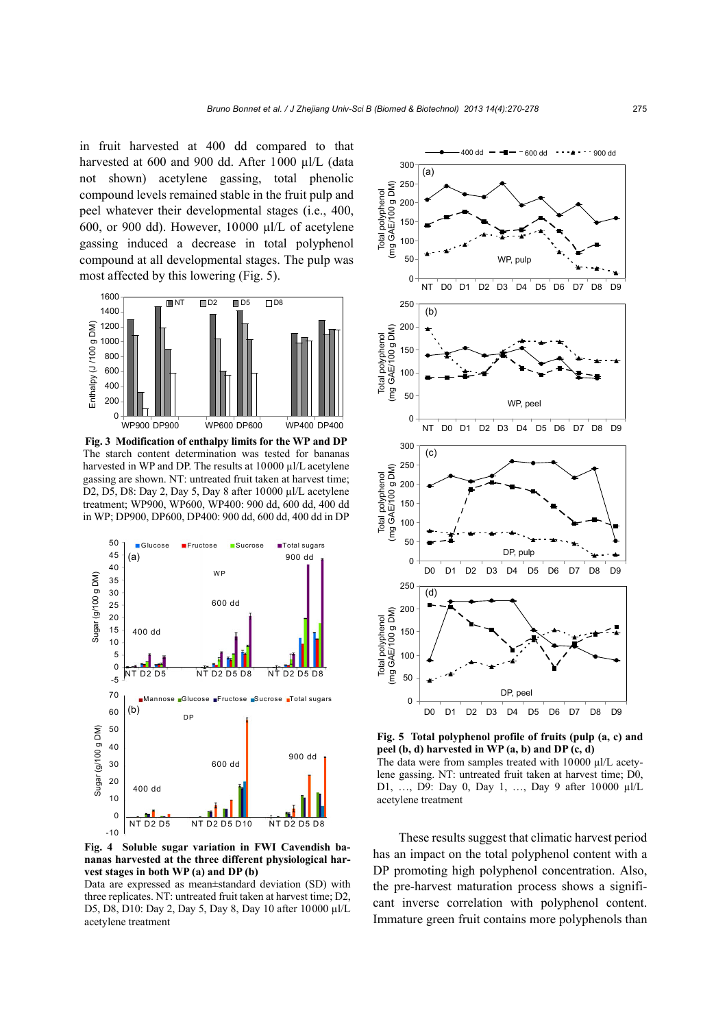in fruit harvested at 400 dd compared to that harvested at 600 and 900 dd. After 1000 µl/L (data not shown) acetylene gassing, total phenolic compound levels remained stable in the fruit pulp and peel whatever their developmental stages (i.e., 400, 600, or 900 dd). However,  $10000 \mu l/L$  of acetylene gassing induced a decrease in total polyphenol compound at all developmental stages. The pulp was most affected by this lowering (Fig. 5).



**Fig. 3 Modification of enthalpy limits for the WP and DP**  The starch content determination was tested for bananas harvested in WP and DP. The results at 10000 µl/L acetylene gassing are shown. NT: untreated fruit taken at harvest time; D2, D5, D8: Day 2, Day 5, Day 8 after 10000 µl/L acetylene treatment; WP900, WP600, WP400: 900 dd, 600 dd, 400 dd in WP; DP900, DP600, DP400: 900 dd, 600 dd, 400 dd in DP



**Fig. 4 Soluble sugar variation in FWI Cavendish bananas harvested at the three different physiological harvest stages in both WP (a) and DP (b)** 

Data are expressed as mean±standard deviation (SD) with three replicates. NT: untreated fruit taken at harvest time; D2, D5, D8, D10: Day 2, Day 5, Day 8, Day 10 after 10000 µl/L acetylene treatment



**Fig. 5 Total polyphenol profile of fruits (pulp (a, c) and peel (b, d) harvested in WP (a, b) and DP (c, d)**  The data were from samples treated with 10000 µl/L acety-

lene gassing. NT: untreated fruit taken at harvest time; D0, D1, …, D9: Day 0, Day 1, …, Day 9 after 10000 µl/L acetylene treatment

These results suggest that climatic harvest period has an impact on the total polyphenol content with a DP promoting high polyphenol concentration. Also, the pre-harvest maturation process shows a significant inverse correlation with polyphenol content. Immature green fruit contains more polyphenols than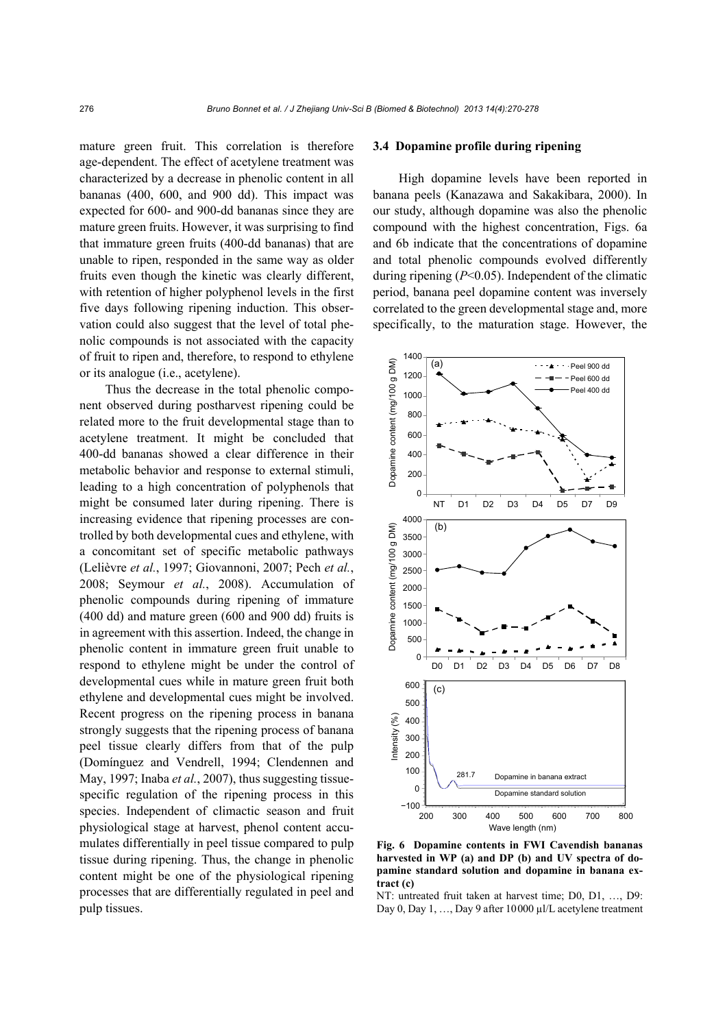mature green fruit. This correlation is therefore age-dependent. The effect of acetylene treatment was characterized by a decrease in phenolic content in all bananas (400, 600, and 900 dd). This impact was expected for 600- and 900-dd bananas since they are mature green fruits. However, it was surprising to find that immature green fruits (400-dd bananas) that are unable to ripen, responded in the same way as older fruits even though the kinetic was clearly different, with retention of higher polyphenol levels in the first five days following ripening induction. This observation could also suggest that the level of total phenolic compounds is not associated with the capacity of fruit to ripen and, therefore, to respond to ethylene or its analogue (i.e., acetylene).

Thus the decrease in the total phenolic component observed during postharvest ripening could be related more to the fruit developmental stage than to acetylene treatment. It might be concluded that 400-dd bananas showed a clear difference in their metabolic behavior and response to external stimuli, leading to a high concentration of polyphenols that might be consumed later during ripening. There is increasing evidence that ripening processes are controlled by both developmental cues and ethylene, with a concomitant set of specific metabolic pathways (Lelièvre *et al.*, 1997; Giovannoni, 2007; Pech *et al.*, 2008; Seymour *et al.*, 2008). Accumulation of phenolic compounds during ripening of immature (400 dd) and mature green (600 and 900 dd) fruits is in agreement with this assertion. Indeed, the change in phenolic content in immature green fruit unable to respond to ethylene might be under the control of developmental cues while in mature green fruit both ethylene and developmental cues might be involved. Recent progress on the ripening process in banana strongly suggests that the ripening process of banana peel tissue clearly differs from that of the pulp (Domínguez and Vendrell, 1994; Clendennen and May, 1997; Inaba *et al.*, 2007), thus suggesting tissuespecific regulation of the ripening process in this species. Independent of climactic season and fruit physiological stage at harvest, phenol content accumulates differentially in peel tissue compared to pulp tissue during ripening. Thus, the change in phenolic content might be one of the physiological ripening processes that are differentially regulated in peel and pulp tissues.

## **3.4 Dopamine profile during ripening**

High dopamine levels have been reported in banana peels (Kanazawa and Sakakibara, 2000). In our study, although dopamine was also the phenolic compound with the highest concentration, Figs. 6a and 6b indicate that the concentrations of dopamine and total phenolic compounds evolved differently during ripening (*P*<0.05). Independent of the climatic period, banana peel dopamine content was inversely correlated to the green developmental stage and, more specifically, to the maturation stage. However, the



**Fig. 6 Dopamine contents in FWI Cavendish bananas harvested in WP (a) and DP (b) and UV spectra of dopamine standard solution and dopamine in banana extract (c)** 

NT: untreated fruit taken at harvest time; D0, D1, …, D9: Day 0, Day 1, ..., Day 9 after 10000 μl/L acetylene treatment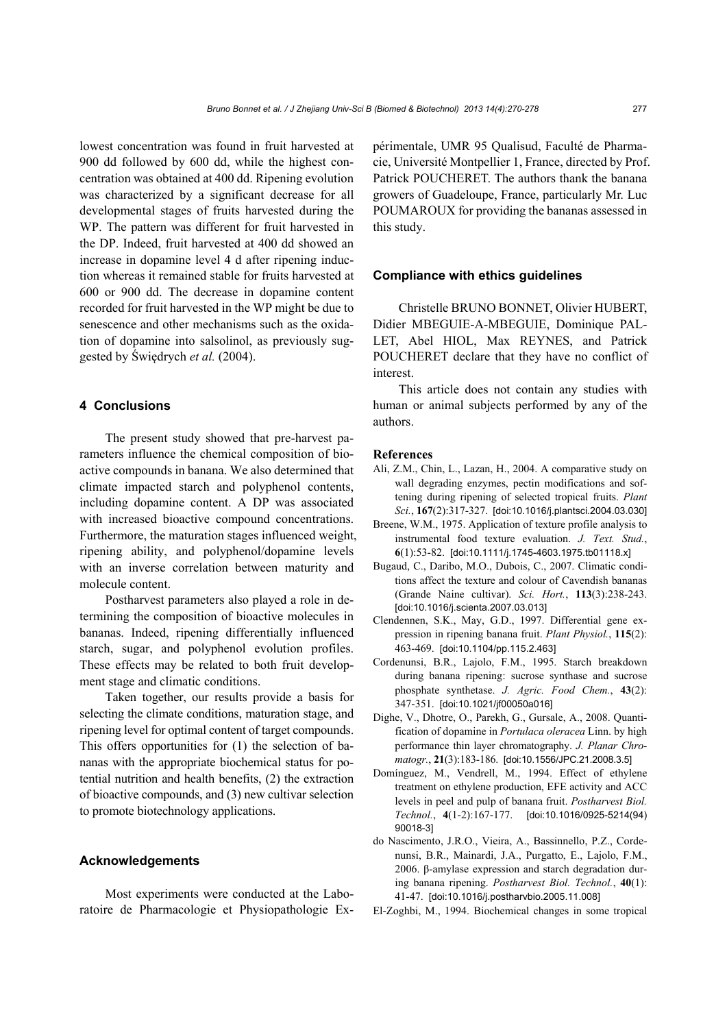lowest concentration was found in fruit harvested at 900 dd followed by 600 dd, while the highest concentration was obtained at 400 dd. Ripening evolution was characterized by a significant decrease for all developmental stages of fruits harvested during the WP. The pattern was different for fruit harvested in the DP. Indeed, fruit harvested at 400 dd showed an increase in dopamine level 4 d after ripening induction whereas it remained stable for fruits harvested at 600 or 900 dd. The decrease in dopamine content recorded for fruit harvested in the WP might be due to senescence and other mechanisms such as the oxidation of dopamine into salsolinol, as previously suggested by Świędrych *et al.* (2004).

## **4 Conclusions**

The present study showed that pre-harvest parameters influence the chemical composition of bioactive compounds in banana. We also determined that climate impacted starch and polyphenol contents, including dopamine content. A DP was associated with increased bioactive compound concentrations. Furthermore, the maturation stages influenced weight, ripening ability, and polyphenol/dopamine levels with an inverse correlation between maturity and molecule content.

Postharvest parameters also played a role in determining the composition of bioactive molecules in bananas. Indeed, ripening differentially influenced starch, sugar, and polyphenol evolution profiles. These effects may be related to both fruit development stage and climatic conditions.

Taken together, our results provide a basis for selecting the climate conditions, maturation stage, and ripening level for optimal content of target compounds. This offers opportunities for (1) the selection of bananas with the appropriate biochemical status for potential nutrition and health benefits, (2) the extraction of bioactive compounds, and (3) new cultivar selection to promote biotechnology applications.

## **Acknowledgements**

Most experiments were conducted at the Laboratoire de Pharmacologie et Physiopathologie Expérimentale, UMR 95 Qualisud, Faculté de Pharmacie, Université Montpellier 1, France, directed by Prof. Patrick POUCHERET. The authors thank the banana growers of Guadeloupe, France, particularly Mr. Luc POUMAROUX for providing the bananas assessed in this study.

### **Compliance with ethics guidelines**

Christelle BRUNO BONNET, Olivier HUBERT, Didier MBEGUIE-A-MBEGUIE, Dominique PAL-LET, Abel HIOL, Max REYNES, and Patrick POUCHERET declare that they have no conflict of interest.

This article does not contain any studies with human or animal subjects performed by any of the authors.

#### **References**

- Ali, Z.M., Chin, L., Lazan, H., 2004. A comparative study on wall degrading enzymes, pectin modifications and softening during ripening of selected tropical fruits. *Plant Sci.*, **167**(2):317-327. [doi:10.1016/j.plantsci.2004.03.030]
- Breene, W.M., 1975. Application of texture profile analysis to instrumental food texture evaluation. *J. Text. Stud.*, **6**(1):53-82. [doi:10.1111/j.1745-4603.1975.tb01118.x]
- Bugaud, C., Daribo, M.O., Dubois, C., 2007. Climatic conditions affect the texture and colour of Cavendish bananas (Grande Naine cultivar). *Sci. Hort.*, **113**(3):238-243. [doi:10.1016/j.scienta.2007.03.013]
- Clendennen, S.K., May, G.D., 1997. Differential gene expression in ripening banana fruit. *Plant Physiol.*, **115**(2): 463-469. [doi:10.1104/pp.115.2.463]
- Cordenunsi, B.R., Lajolo, F.M., 1995. Starch breakdown during banana ripening: sucrose synthase and sucrose phosphate synthetase. *J. Agric. Food Chem.*, **43**(2): 347-351. [doi:10.1021/jf00050a016]
- Dighe, V., Dhotre, O., Parekh, G., Gursale, A., 2008. Quantification of dopamine in *Portulaca oleracea* Linn. by high performance thin layer chromatography. *J. Planar Chromatogr.*, **21**(3):183-186. [doi:10.1556/JPC.21.2008.3.5]
- Domínguez, M., Vendrell, M., 1994. Effect of ethylene treatment on ethylene production, EFE activity and ACC levels in peel and pulp of banana fruit. *Postharvest Biol. Technol.*, **4**(1-2):167-177. [doi:10.1016/0925-5214(94) 90018-3]
- do Nascimento, J.R.O., Vieira, A., Bassinnello, P.Z., Cordenunsi, B.R., Mainardi, J.A., Purgatto, E., Lajolo, F.M., 2006. β-amylase expression and starch degradation during banana ripening. *Postharvest Biol. Technol.*, **40**(1): 41-47. [doi:10.1016/j.postharvbio.2005.11.008]
- El-Zoghbi, M., 1994. Biochemical changes in some tropical